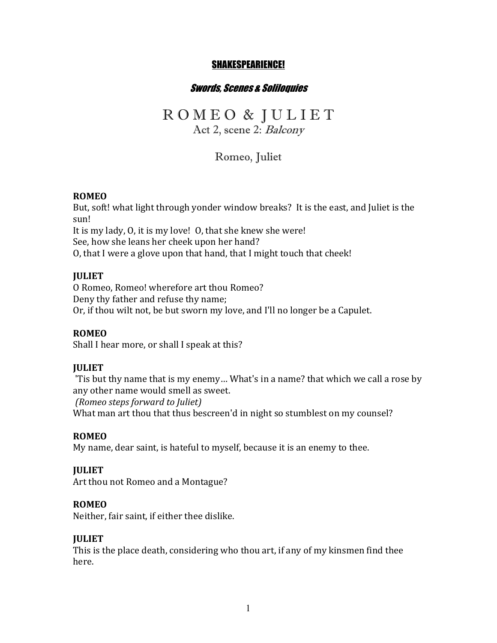# SHAKESPEARIENCE!

# Swords, Scenes & Soliloquies

# R O M E O & J U L I E T

Act 2, scene 2: Balcony

Romeo, Juliet

#### **ROMEO**

But, soft! what light through yonder window breaks? It is the east, and Juliet is the sun!

It is my lady, O, it is my love! O, that she knew she were!

See, how she leans her cheek upon her hand?

O, that I were a glove upon that hand, that I might touch that cheek!

# **JULIET**

O Romeo, Romeo! wherefore art thou Romeo? Deny thy father and refuse thy name; Or, if thou wilt not, be but sworn my love, and I'll no longer be a Capulet.

#### **ROMEO**

Shall I hear more, or shall I speak at this?

#### **JULIET**

'Tis but thy name that is my enemy... What's in a name? that which we call a rose by any other name would smell as sweet.

*(Romeo steps forward to Juliet)* What man art thou that thus bescreen'd in night so stumblest on my counsel?

#### **ROMEO**

My name, dear saint, is hateful to myself, because it is an enemy to thee.

#### **JULIET**

Art thou not Romeo and a Montague?

#### **ROMEO**

Neither, fair saint, if either thee dislike.

#### **JULIET**

This is the place death, considering who thou art, if any of my kinsmen find thee here.